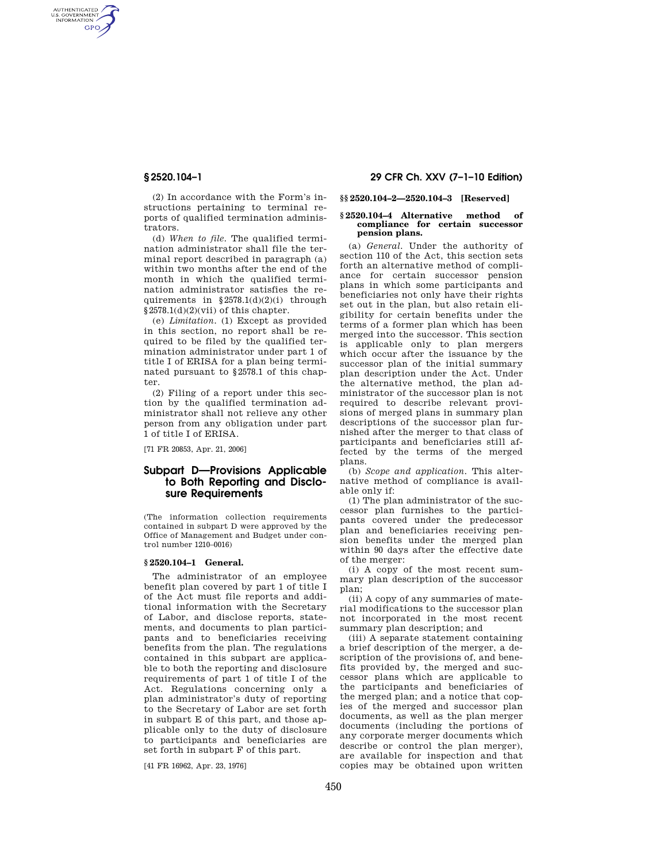AUTHENTICATED<br>U.S. GOVERNMENT<br>INFORMATION **GPO** 

> (2) In accordance with the Form's instructions pertaining to terminal reports of qualified termination administrators.

> (d) *When to file.* The qualified termination administrator shall file the terminal report described in paragraph (a) within two months after the end of the month in which the qualified termination administrator satisfies the requirements in §2578.1(d)(2)(i) through  $§2578.1(d)(2)(vii)$  of this chapter.

> (e) *Limitation.* (1) Except as provided in this section, no report shall be required to be filed by the qualified termination administrator under part 1 of title I of ERISA for a plan being terminated pursuant to §2578.1 of this chapter.

> (2) Filing of a report under this section by the qualified termination administrator shall not relieve any other person from any obligation under part 1 of title I of ERISA.

[71 FR 20853, Apr. 21, 2006]

# **Subpart D—Provisions Applicable to Both Reporting and Disclosure Requirements**

(The information collection requirements contained in subpart D were approved by the Office of Management and Budget under control number 1210–0016)

#### **§ 2520.104–1 General.**

The administrator of an employee benefit plan covered by part 1 of title I of the Act must file reports and additional information with the Secretary of Labor, and disclose reports, statements, and documents to plan participants and to beneficiaries receiving benefits from the plan. The regulations contained in this subpart are applicable to both the reporting and disclosure requirements of part 1 of title I of the Act. Regulations concerning only a plan administrator's duty of reporting to the Secretary of Labor are set forth in subpart E of this part, and those applicable only to the duty of disclosure to participants and beneficiaries are set forth in subpart F of this part.

[41 FR 16962, Apr. 23, 1976]

## **§ 2520.104–1 29 CFR Ch. XXV (7–1–10 Edition)**

**§§ 2520.104–2—2520.104–3 [Reserved]** 

#### **§ 2520.104–4 Alternative method of compliance for certain successor pension plans.**

(a) *General.* Under the authority of section 110 of the Act, this section sets forth an alternative method of compliance for certain successor pension plans in which some participants and beneficiaries not only have their rights set out in the plan, but also retain eligibility for certain benefits under the terms of a former plan which has been merged into the successor. This section is applicable only to plan mergers which occur after the issuance by the successor plan of the initial summary plan description under the Act. Under the alternative method, the plan administrator of the successor plan is not required to describe relevant provisions of merged plans in summary plan descriptions of the successor plan furnished after the merger to that class of participants and beneficiaries still affected by the terms of the merged plans.

(b) *Scope and application.* This alternative method of compliance is available only if:

(1) The plan administrator of the successor plan furnishes to the participants covered under the predecessor plan and beneficiaries receiving pension benefits under the merged plan within 90 days after the effective date of the merger:

(i) A copy of the most recent summary plan description of the successor plan;

(ii) A copy of any summaries of material modifications to the successor plan not incorporated in the most recent summary plan description; and

(iii) A separate statement containing a brief description of the merger, a description of the provisions of, and benefits provided by, the merged and successor plans which are applicable to the participants and beneficiaries of the merged plan; and a notice that copies of the merged and successor plan documents, as well as the plan merger documents (including the portions of any corporate merger documents which describe or control the plan merger), are available for inspection and that copies may be obtained upon written